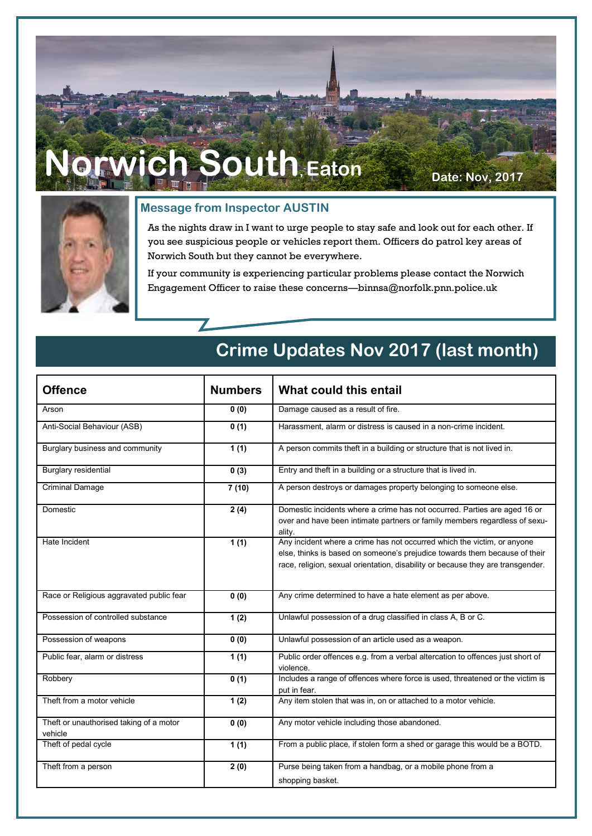# **Norwich South, Eaton Date: Nov, 2017**



#### **Message from Inspector AUSTIN**

As the nights draw in I want to urge people to stay safe and look out for each other. If you see suspicious people or vehicles report them. Officers do patrol key areas of Norwich South but they cannot be everywhere.

If your community is experiencing particular problems please contact the Norwich Engagement Officer to raise these concerns—binnsa@norfolk.pnn.police.uk

### **Crime Updates Nov 2017 (last month)**

| <b>Offence</b>                                     | <b>Numbers</b>    | What could this entail                                                                                                                                                                                                                   |
|----------------------------------------------------|-------------------|------------------------------------------------------------------------------------------------------------------------------------------------------------------------------------------------------------------------------------------|
| Arson                                              | 0(0)              | Damage caused as a result of fire.                                                                                                                                                                                                       |
| Anti-Social Behaviour (ASB)                        | 0(1)              | Harassment, alarm or distress is caused in a non-crime incident.                                                                                                                                                                         |
| Burglary business and community                    | 1(1)              | A person commits theft in a building or structure that is not lived in.                                                                                                                                                                  |
| <b>Burglary residential</b>                        | 0(3)              | Entry and theft in a building or a structure that is lived in.                                                                                                                                                                           |
| <b>Criminal Damage</b>                             | 7(10)             | A person destroys or damages property belonging to someone else.                                                                                                                                                                         |
| Domestic                                           | 2(4)              | Domestic incidents where a crime has not occurred. Parties are aged 16 or<br>over and have been intimate partners or family members regardless of sexu-<br>ality.                                                                        |
| Hate Incident                                      | 1(1)              | Any incident where a crime has not occurred which the victim, or anyone<br>else, thinks is based on someone's prejudice towards them because of their<br>race, religion, sexual orientation, disability or because they are transgender. |
| Race or Religious aggravated public fear           | 0(0)              | Any crime determined to have a hate element as per above.                                                                                                                                                                                |
| Possession of controlled substance                 | 1(2)              | Unlawful possession of a drug classified in class A, B or C.                                                                                                                                                                             |
| Possession of weapons                              | $\overline{0(0)}$ | Unlawful possession of an article used as a weapon.                                                                                                                                                                                      |
| Public fear, alarm or distress                     | 1(1)              | Public order offences e.g. from a verbal altercation to offences just short of<br>violence.                                                                                                                                              |
| Robbery                                            | 0(1)              | Includes a range of offences where force is used, threatened or the victim is<br>put in fear.                                                                                                                                            |
| Theft from a motor vehicle                         | 1(2)              | Any item stolen that was in, on or attached to a motor vehicle.                                                                                                                                                                          |
| Theft or unauthorised taking of a motor<br>vehicle | 0(0)              | Any motor vehicle including those abandoned.                                                                                                                                                                                             |
| Theft of pedal cycle                               | 1(1)              | From a public place, if stolen form a shed or garage this would be a BOTD.                                                                                                                                                               |
| Theft from a person                                | 2(0)              | Purse being taken from a handbag, or a mobile phone from a                                                                                                                                                                               |
|                                                    |                   | shopping basket.                                                                                                                                                                                                                         |